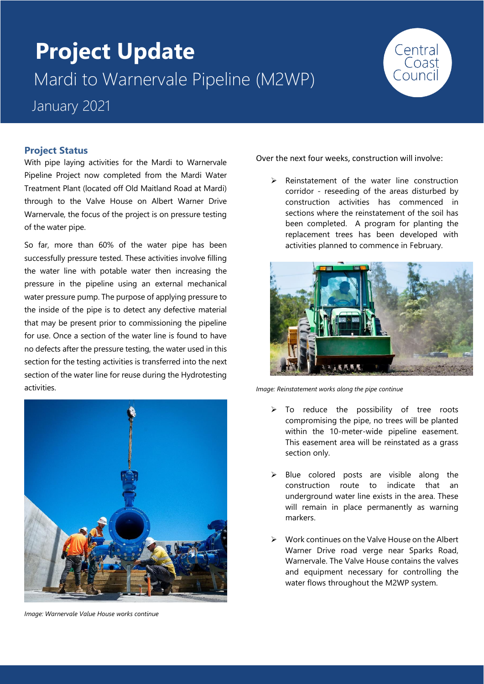# **Project Update** Mardi to Warnervale Pipeline (M2WP) January 2021



#### **Project Status**

With pipe laying activities for the Mardi to Warnervale Pipeline Project now completed from the Mardi Water Treatment Plant (located off Old Maitland Road at Mardi) through to the Valve House on Albert Warner Drive Warnervale, the focus of the project is on pressure testing of the water pipe.

So far, more than 60% of the water pipe has been successfully pressure tested. These activities involve filling the water line with potable water then increasing the pressure in the pipeline using an external mechanical water pressure pump. The purpose of applying pressure to the inside of the pipe is to detect any defective material that may be present prior to commissioning the pipeline for use. Once a section of the water line is found to have no defects after the pressure testing, the water used in this section for the testing activities is transferred into the next section of the water line for reuse during the Hydrotesting activities.



*Image: Warnervale Value House works continue*

Over the next four weeks, construction will involve:

Reinstatement of the water line construction corridor - reseeding of the areas disturbed by construction activities has commenced in sections where the reinstatement of the soil has been completed. A program for planting the replacement trees has been developed with activities planned to commence in February.



*Image: Reinstatement works along the pipe continue*

- $\triangleright$  To reduce the possibility of tree roots compromising the pipe, no trees will be planted within the 10-meter-wide pipeline easement. This easement area will be reinstated as a grass section only.
- ➢ Blue colored posts are visible along the construction route to indicate that an underground water line exists in the area. These will remain in place permanently as warning markers.
- ➢ Work continues on the Valve House on the Albert Warner Drive road verge near Sparks Road, Warnervale. The Valve House contains the valves and equipment necessary for controlling the water flows throughout the M2WP system.